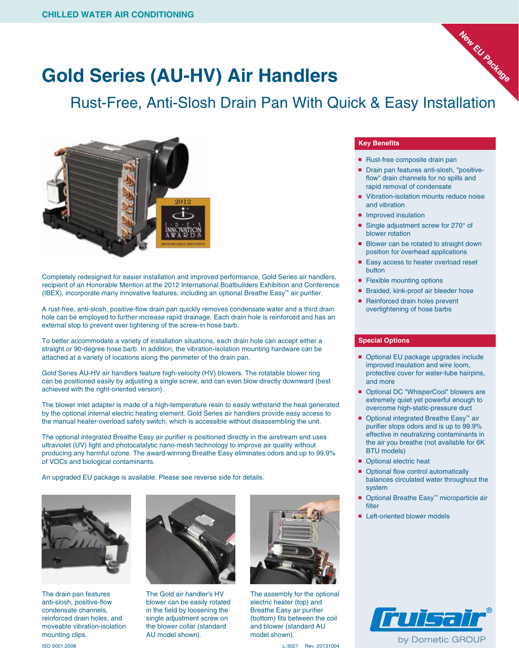## **Gold Series (AU-HV) Air Handlers**

### Rust-Free, Anti-Slosh Drain Pan With Quick & Easy Installation



Completely redesigned for easier installation and improved performance, Gold Series air handlers, recipient of an Honorable Mention at the 2012 International Boatbuilders Exhibition and Conference (IBEX), incorporate many innovative features, including an optional Breathe Easy™ air purifier.

A rust-free, anti-slosh, positive-flow drain pan quickly removes condensate water and a third drain hole can be employed to further increase rapid drainage. Each drain hole is reinforced and has an external stop to prevent over tightening of the screw-in hose barb.

To better accommodate a variety of installation situations, each drain hole can accept either a straight or 90-degree hose barb. In addition, the vibration-isolation mounting hardware can be attached at a variety of locations along the perimeter of the drain pan.

Gold Series AU-HV air handlers feature high-velocity (HV) blowers. The rotatable blower ring can be positioned easily by adjusting a single screw, and can even blow directly downward (best achieved with the right-oriented version).

The blower inlet adapter is made of a high-temperature resin to easily withstand the heat generated by the optional internal electric heating element. Gold Series air handlers provide easy access to the manual heater-overload safety switch, which is accessible without disassembling the unit.

The optional integrated Breathe Easy air purifier is positioned directly in the airstream and uses ultraviolet (UV) light and photocatalytic nano-mesh technology to improve air quality without producing any harmful ozone. The award-winning Breathe Easy eliminates odors and up to 99.9% of VOCs and biological contaminants.

An upgraded EU package is available. Please see reverse side for details.



The drain pan features anti-slosh, positive-flow condensate channels, reinforced drain holes, and moveable vibration-isolation mounting clips.



The Gold air handler's HV blower can be easily rotated in the field by loosening the single adjustment screw on the blower collar (standard AU model shown).



The assembly for the optional electric heater (top) and Breathe Easy air purifier (bottom) fits between the coil and blower (standard AU model shown).

#### **Key Benefits**

- Rust-free composite drain pan
- Drain pan features anti-slosh, "positiveflow" drain channels for no spills and rapid removal of condensate

**New EU Package**

- Vibration-isolation mounts reduce noise and vibration
- Improved insulation
- Single adjustment screw for 270° of blower rotation
- Blower can be rotated to straight down position for overhead applications
- Easy access to heater overload reset button
- Flexible mounting options
- Braided, kink-proof air bleeder hose
- Reinforced drain holes prevent overtightening of hose barbs

### **Special Options**

- Optional EU package upgrades include improved insulation and wire loom, protective cover for water-tube hairpins, and more
- Optional DC "WhisperCool" blowers are extremely quiet yet powerful enough to overcome high-static-pressure duct
- Optional integrated Breathe Easy<sup>™</sup> air purifier stops odors and is up to 99.9% effective in neutralizing contaminants in the air you breathe (not available for 6K BTU models)
- Optional electric heat
- Optional flow control automatically balances circulated water throughout the system
- Optional Breathe Easy<sup>™</sup> microparticle air filter
- Left-oriented blower models